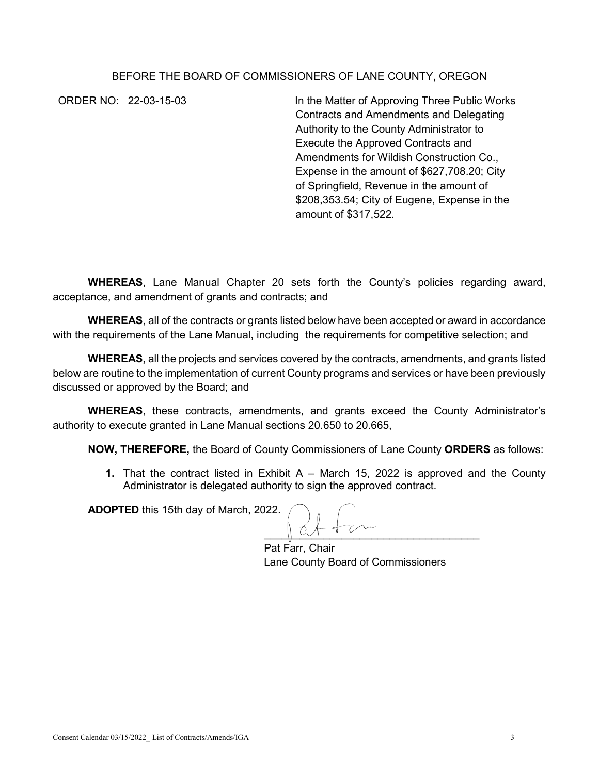## BEFORE THE BOARD OF COMMISSIONERS OF LANE COUNTY, OREGON

ORDER NO: 22-03-15-03 In the Matter of Approving Three Public Works Contracts and Amendments and Delegating Authority to the County Administrator to Execute the Approved Contracts and Amendments for Wildish Construction Co., Expense in the amount of \$627,708.20; City of Springfield, Revenue in the amount of \$208,353.54; City of Eugene, Expense in the amount of \$317,522.

**WHEREAS**, Lane Manual Chapter 20 sets forth the County's policies regarding award, acceptance, and amendment of grants and contracts; and

**WHEREAS**, all of the contracts or grants listed below have been accepted or award in accordance with the requirements of the Lane Manual, including the requirements for competitive selection; and

**WHEREAS,** all the projects and services covered by the contracts, amendments, and grants listed below are routine to the implementation of current County programs and services or have been previously discussed or approved by the Board; and

**WHEREAS**, these contracts, amendments, and grants exceed the County Administrator's authority to execute granted in Lane Manual sections 20.650 to 20.665,

**NOW, THEREFORE,** the Board of County Commissioners of Lane County **ORDERS** as follows:

**1.** That the contract listed in Exhibit A – March 15, 2022 is approved and the County Administrator is delegated authority to sign the approved contract.

**ADOPTED** this 15th day of March, 2022.

 $\mathbb{C}$ 

Pat Farr, Chair Lane County Board of Commissioners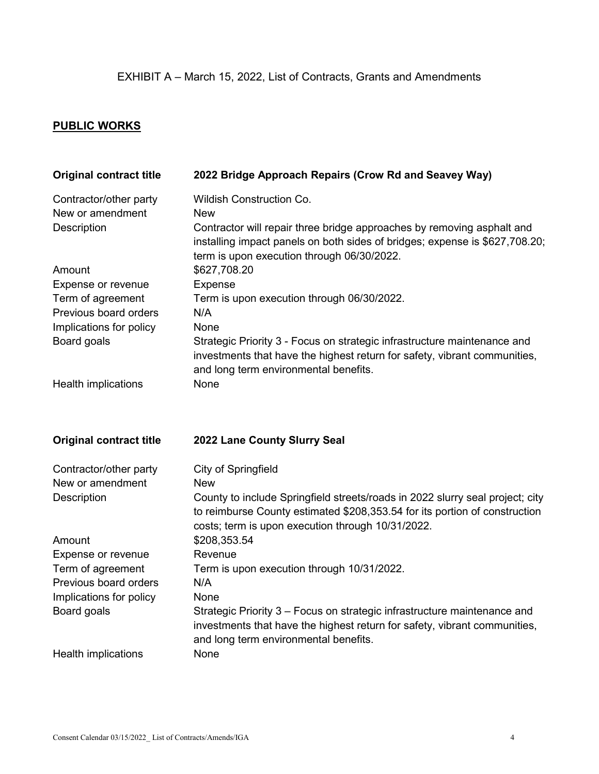## **PUBLIC WORKS**

| <b>Original contract title</b>                   | 2022 Bridge Approach Repairs (Crow Rd and Seavey Way)                                                                                                                                                            |
|--------------------------------------------------|------------------------------------------------------------------------------------------------------------------------------------------------------------------------------------------------------------------|
| Contractor/other party<br>New or amendment       | <b>Wildish Construction Co.</b><br><b>New</b>                                                                                                                                                                    |
| Description                                      | Contractor will repair three bridge approaches by removing asphalt and<br>installing impact panels on both sides of bridges; expense is \$627,708.20;<br>term is upon execution through 06/30/2022.              |
| Amount                                           | \$627,708.20                                                                                                                                                                                                     |
| Expense or revenue                               | <b>Expense</b>                                                                                                                                                                                                   |
| Term of agreement                                | Term is upon execution through 06/30/2022.                                                                                                                                                                       |
| Previous board orders<br>Implications for policy | N/A<br>None                                                                                                                                                                                                      |
| Board goals                                      | Strategic Priority 3 - Focus on strategic infrastructure maintenance and                                                                                                                                         |
|                                                  | investments that have the highest return for safety, vibrant communities,                                                                                                                                        |
|                                                  | and long term environmental benefits.                                                                                                                                                                            |
| Health implications                              | None                                                                                                                                                                                                             |
| <b>Original contract title</b>                   | 2022 Lane County Slurry Seal                                                                                                                                                                                     |
| Contractor/other party                           | City of Springfield                                                                                                                                                                                              |
| New or amendment                                 | <b>New</b>                                                                                                                                                                                                       |
| Description                                      | County to include Springfield streets/roads in 2022 slurry seal project; city<br>to reimburse County estimated \$208,353.54 for its portion of construction<br>costs; term is upon execution through 10/31/2022. |
| Amount                                           | \$208,353.54                                                                                                                                                                                                     |
| Expense or revenue                               | Revenue                                                                                                                                                                                                          |
| Term of agreement                                | Term is upon execution through 10/31/2022.                                                                                                                                                                       |
| Previous board orders<br>Implications for policy | N/A<br>None                                                                                                                                                                                                      |
| Board goals                                      | Strategic Priority 3 - Focus on strategic infrastructure maintenance and                                                                                                                                         |
|                                                  | investments that have the highest return for safety, vibrant communities,<br>and long term environmental benefits.                                                                                               |
| Health implications                              | None                                                                                                                                                                                                             |